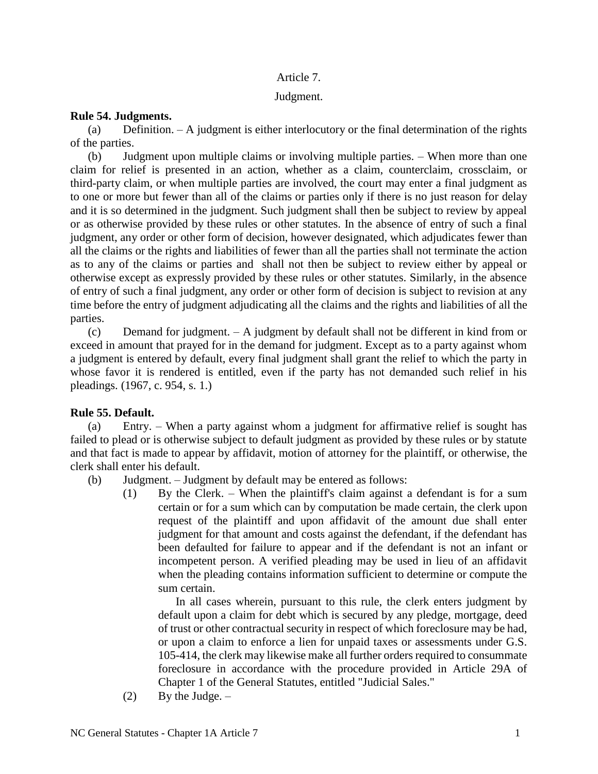## Article 7.

### Judgment.

## **Rule 54. Judgments.**

(a) Definition. – A judgment is either interlocutory or the final determination of the rights of the parties.

(b) Judgment upon multiple claims or involving multiple parties. – When more than one claim for relief is presented in an action, whether as a claim, counterclaim, crossclaim, or third-party claim, or when multiple parties are involved, the court may enter a final judgment as to one or more but fewer than all of the claims or parties only if there is no just reason for delay and it is so determined in the judgment. Such judgment shall then be subject to review by appeal or as otherwise provided by these rules or other statutes. In the absence of entry of such a final judgment, any order or other form of decision, however designated, which adjudicates fewer than all the claims or the rights and liabilities of fewer than all the parties shall not terminate the action as to any of the claims or parties and shall not then be subject to review either by appeal or otherwise except as expressly provided by these rules or other statutes. Similarly, in the absence of entry of such a final judgment, any order or other form of decision is subject to revision at any time before the entry of judgment adjudicating all the claims and the rights and liabilities of all the parties.

(c) Demand for judgment.  $- A$  judgment by default shall not be different in kind from or exceed in amount that prayed for in the demand for judgment. Except as to a party against whom a judgment is entered by default, every final judgment shall grant the relief to which the party in whose favor it is rendered is entitled, even if the party has not demanded such relief in his pleadings. (1967, c. 954, s. 1.)

## **Rule 55. Default.**

(a) Entry. – When a party against whom a judgment for affirmative relief is sought has failed to plead or is otherwise subject to default judgment as provided by these rules or by statute and that fact is made to appear by affidavit, motion of attorney for the plaintiff, or otherwise, the clerk shall enter his default.

- (b) Judgment. Judgment by default may be entered as follows:
	- (1) By the Clerk. When the plaintiff's claim against a defendant is for a sum certain or for a sum which can by computation be made certain, the clerk upon request of the plaintiff and upon affidavit of the amount due shall enter judgment for that amount and costs against the defendant, if the defendant has been defaulted for failure to appear and if the defendant is not an infant or incompetent person. A verified pleading may be used in lieu of an affidavit when the pleading contains information sufficient to determine or compute the sum certain.

In all cases wherein, pursuant to this rule, the clerk enters judgment by default upon a claim for debt which is secured by any pledge, mortgage, deed of trust or other contractual security in respect of which foreclosure may be had, or upon a claim to enforce a lien for unpaid taxes or assessments under G.S. 105-414, the clerk may likewise make all further orders required to consummate foreclosure in accordance with the procedure provided in Article 29A of Chapter 1 of the General Statutes, entitled "Judicial Sales."

 $(2)$  By the Judge.  $-$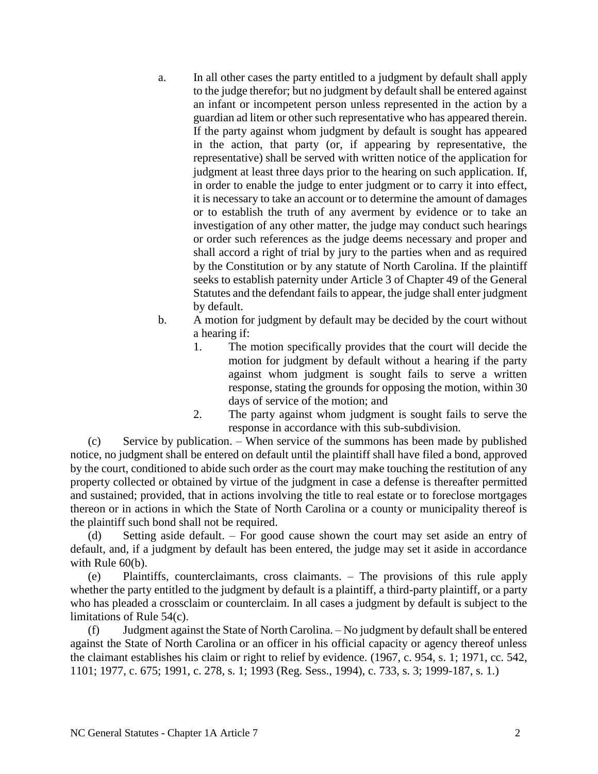- a. In all other cases the party entitled to a judgment by default shall apply to the judge therefor; but no judgment by default shall be entered against an infant or incompetent person unless represented in the action by a guardian ad litem or other such representative who has appeared therein. If the party against whom judgment by default is sought has appeared in the action, that party (or, if appearing by representative, the representative) shall be served with written notice of the application for judgment at least three days prior to the hearing on such application. If, in order to enable the judge to enter judgment or to carry it into effect, it is necessary to take an account or to determine the amount of damages or to establish the truth of any averment by evidence or to take an investigation of any other matter, the judge may conduct such hearings or order such references as the judge deems necessary and proper and shall accord a right of trial by jury to the parties when and as required by the Constitution or by any statute of North Carolina. If the plaintiff seeks to establish paternity under Article 3 of Chapter 49 of the General Statutes and the defendant fails to appear, the judge shall enter judgment by default.
- b. A motion for judgment by default may be decided by the court without a hearing if:
	- 1. The motion specifically provides that the court will decide the motion for judgment by default without a hearing if the party against whom judgment is sought fails to serve a written response, stating the grounds for opposing the motion, within 30 days of service of the motion; and
	- 2. The party against whom judgment is sought fails to serve the response in accordance with this sub-subdivision.

(c) Service by publication. – When service of the summons has been made by published notice, no judgment shall be entered on default until the plaintiff shall have filed a bond, approved by the court, conditioned to abide such order as the court may make touching the restitution of any property collected or obtained by virtue of the judgment in case a defense is thereafter permitted and sustained; provided, that in actions involving the title to real estate or to foreclose mortgages thereon or in actions in which the State of North Carolina or a county or municipality thereof is the plaintiff such bond shall not be required.

(d) Setting aside default. – For good cause shown the court may set aside an entry of default, and, if a judgment by default has been entered, the judge may set it aside in accordance with Rule 60(b).

(e) Plaintiffs, counterclaimants, cross claimants. – The provisions of this rule apply whether the party entitled to the judgment by default is a plaintiff, a third-party plaintiff, or a party who has pleaded a crossclaim or counterclaim. In all cases a judgment by default is subject to the limitations of Rule 54(c).

(f) Judgment against the State of North Carolina. – No judgment by default shall be entered against the State of North Carolina or an officer in his official capacity or agency thereof unless the claimant establishes his claim or right to relief by evidence. (1967, c. 954, s. 1; 1971, cc. 542, 1101; 1977, c. 675; 1991, c. 278, s. 1; 1993 (Reg. Sess., 1994), c. 733, s. 3; 1999-187, s. 1.)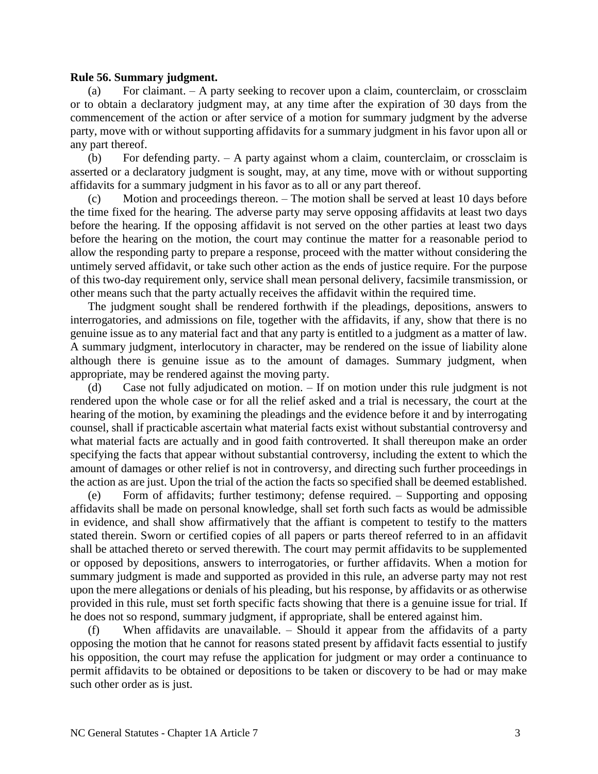#### **Rule 56. Summary judgment.**

(a) For claimant. – A party seeking to recover upon a claim, counterclaim, or crossclaim or to obtain a declaratory judgment may, at any time after the expiration of 30 days from the commencement of the action or after service of a motion for summary judgment by the adverse party, move with or without supporting affidavits for a summary judgment in his favor upon all or any part thereof.

(b) For defending party.  $- A$  party against whom a claim, counterclaim, or crossclaim is asserted or a declaratory judgment is sought, may, at any time, move with or without supporting affidavits for a summary judgment in his favor as to all or any part thereof.

Motion and proceedings thereon.  $-$  The motion shall be served at least 10 days before the time fixed for the hearing. The adverse party may serve opposing affidavits at least two days before the hearing. If the opposing affidavit is not served on the other parties at least two days before the hearing on the motion, the court may continue the matter for a reasonable period to allow the responding party to prepare a response, proceed with the matter without considering the untimely served affidavit, or take such other action as the ends of justice require. For the purpose of this two-day requirement only, service shall mean personal delivery, facsimile transmission, or other means such that the party actually receives the affidavit within the required time.

The judgment sought shall be rendered forthwith if the pleadings, depositions, answers to interrogatories, and admissions on file, together with the affidavits, if any, show that there is no genuine issue as to any material fact and that any party is entitled to a judgment as a matter of law. A summary judgment, interlocutory in character, may be rendered on the issue of liability alone although there is genuine issue as to the amount of damages. Summary judgment, when appropriate, may be rendered against the moving party.

(d) Case not fully adjudicated on motion. – If on motion under this rule judgment is not rendered upon the whole case or for all the relief asked and a trial is necessary, the court at the hearing of the motion, by examining the pleadings and the evidence before it and by interrogating counsel, shall if practicable ascertain what material facts exist without substantial controversy and what material facts are actually and in good faith controverted. It shall thereupon make an order specifying the facts that appear without substantial controversy, including the extent to which the amount of damages or other relief is not in controversy, and directing such further proceedings in the action as are just. Upon the trial of the action the facts so specified shall be deemed established.

(e) Form of affidavits; further testimony; defense required. – Supporting and opposing affidavits shall be made on personal knowledge, shall set forth such facts as would be admissible in evidence, and shall show affirmatively that the affiant is competent to testify to the matters stated therein. Sworn or certified copies of all papers or parts thereof referred to in an affidavit shall be attached thereto or served therewith. The court may permit affidavits to be supplemented or opposed by depositions, answers to interrogatories, or further affidavits. When a motion for summary judgment is made and supported as provided in this rule, an adverse party may not rest upon the mere allegations or denials of his pleading, but his response, by affidavits or as otherwise provided in this rule, must set forth specific facts showing that there is a genuine issue for trial. If he does not so respond, summary judgment, if appropriate, shall be entered against him.

(f) When affidavits are unavailable. – Should it appear from the affidavits of a party opposing the motion that he cannot for reasons stated present by affidavit facts essential to justify his opposition, the court may refuse the application for judgment or may order a continuance to permit affidavits to be obtained or depositions to be taken or discovery to be had or may make such other order as is just.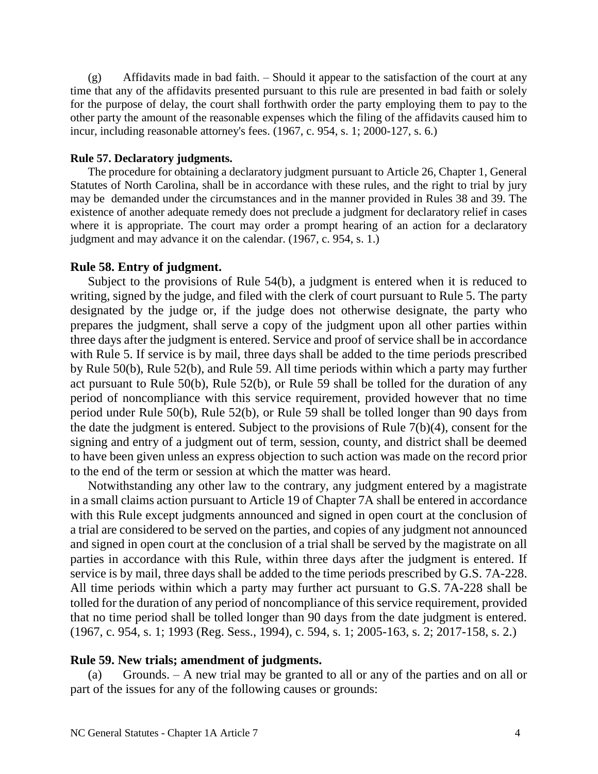(g) Affidavits made in bad faith. – Should it appear to the satisfaction of the court at any time that any of the affidavits presented pursuant to this rule are presented in bad faith or solely for the purpose of delay, the court shall forthwith order the party employing them to pay to the other party the amount of the reasonable expenses which the filing of the affidavits caused him to incur, including reasonable attorney's fees. (1967, c. 954, s. 1; 2000-127, s. 6.)

#### **Rule 57. Declaratory judgments.**

The procedure for obtaining a declaratory judgment pursuant to Article 26, Chapter 1, General Statutes of North Carolina, shall be in accordance with these rules, and the right to trial by jury may be demanded under the circumstances and in the manner provided in Rules 38 and 39. The existence of another adequate remedy does not preclude a judgment for declaratory relief in cases where it is appropriate. The court may order a prompt hearing of an action for a declaratory judgment and may advance it on the calendar. (1967, c. 954, s. 1.)

#### **Rule 58. Entry of judgment.**

Subject to the provisions of Rule 54(b), a judgment is entered when it is reduced to writing, signed by the judge, and filed with the clerk of court pursuant to Rule 5. The party designated by the judge or, if the judge does not otherwise designate, the party who prepares the judgment, shall serve a copy of the judgment upon all other parties within three days after the judgment is entered. Service and proof of service shall be in accordance with Rule 5. If service is by mail, three days shall be added to the time periods prescribed by Rule 50(b), Rule 52(b), and Rule 59. All time periods within which a party may further act pursuant to Rule 50(b), Rule 52(b), or Rule 59 shall be tolled for the duration of any period of noncompliance with this service requirement, provided however that no time period under Rule 50(b), Rule 52(b), or Rule 59 shall be tolled longer than 90 days from the date the judgment is entered. Subject to the provisions of Rule 7(b)(4), consent for the signing and entry of a judgment out of term, session, county, and district shall be deemed to have been given unless an express objection to such action was made on the record prior to the end of the term or session at which the matter was heard.

Notwithstanding any other law to the contrary, any judgment entered by a magistrate in a small claims action pursuant to Article 19 of Chapter 7A shall be entered in accordance with this Rule except judgments announced and signed in open court at the conclusion of a trial are considered to be served on the parties, and copies of any judgment not announced and signed in open court at the conclusion of a trial shall be served by the magistrate on all parties in accordance with this Rule, within three days after the judgment is entered. If service is by mail, three days shall be added to the time periods prescribed by G.S. 7A-228. All time periods within which a party may further act pursuant to G.S. 7A-228 shall be tolled for the duration of any period of noncompliance of this service requirement, provided that no time period shall be tolled longer than 90 days from the date judgment is entered. (1967, c. 954, s. 1; 1993 (Reg. Sess., 1994), c. 594, s. 1; 2005-163, s. 2; 2017-158, s. 2.)

### **Rule 59. New trials; amendment of judgments.**

(a) Grounds. – A new trial may be granted to all or any of the parties and on all or part of the issues for any of the following causes or grounds: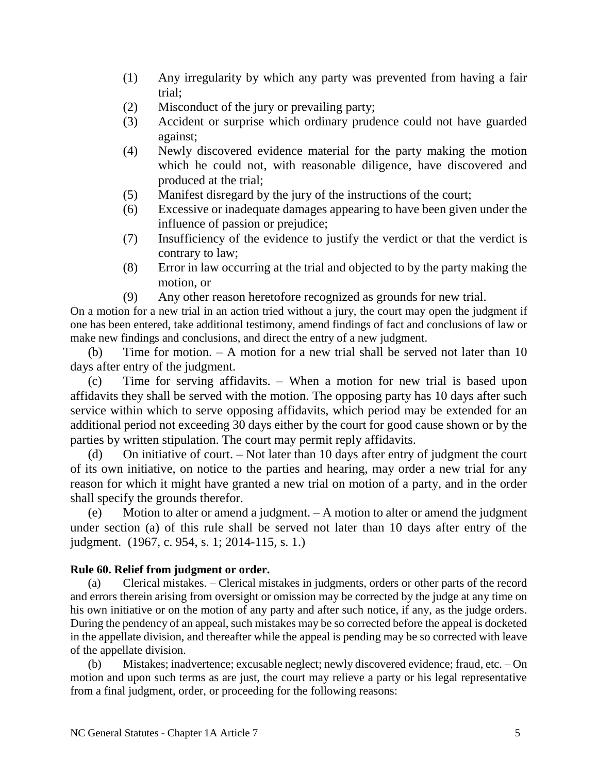- (1) Any irregularity by which any party was prevented from having a fair trial;
- (2) Misconduct of the jury or prevailing party;
- (3) Accident or surprise which ordinary prudence could not have guarded against;
- (4) Newly discovered evidence material for the party making the motion which he could not, with reasonable diligence, have discovered and produced at the trial;
- (5) Manifest disregard by the jury of the instructions of the court;
- (6) Excessive or inadequate damages appearing to have been given under the influence of passion or prejudice;
- (7) Insufficiency of the evidence to justify the verdict or that the verdict is contrary to law;
- (8) Error in law occurring at the trial and objected to by the party making the motion, or
- (9) Any other reason heretofore recognized as grounds for new trial.

On a motion for a new trial in an action tried without a jury, the court may open the judgment if one has been entered, take additional testimony, amend findings of fact and conclusions of law or make new findings and conclusions, and direct the entry of a new judgment.

(b) Time for motion.  $- A$  motion for a new trial shall be served not later than 10 days after entry of the judgment.

(c) Time for serving affidavits. – When a motion for new trial is based upon affidavits they shall be served with the motion. The opposing party has 10 days after such service within which to serve opposing affidavits, which period may be extended for an additional period not exceeding 30 days either by the court for good cause shown or by the parties by written stipulation. The court may permit reply affidavits.

(d) On initiative of court. – Not later than 10 days after entry of judgment the court of its own initiative, on notice to the parties and hearing, may order a new trial for any reason for which it might have granted a new trial on motion of a party, and in the order shall specify the grounds therefor.

(e) Motion to alter or amend a judgment. – A motion to alter or amend the judgment under section (a) of this rule shall be served not later than 10 days after entry of the judgment. (1967, c. 954, s. 1; 2014-115, s. 1.)

# **Rule 60. Relief from judgment or order.**

(a) Clerical mistakes. – Clerical mistakes in judgments, orders or other parts of the record and errors therein arising from oversight or omission may be corrected by the judge at any time on his own initiative or on the motion of any party and after such notice, if any, as the judge orders. During the pendency of an appeal, such mistakes may be so corrected before the appeal is docketed in the appellate division, and thereafter while the appeal is pending may be so corrected with leave of the appellate division.

(b) Mistakes; inadvertence; excusable neglect; newly discovered evidence; fraud, etc. – On motion and upon such terms as are just, the court may relieve a party or his legal representative from a final judgment, order, or proceeding for the following reasons: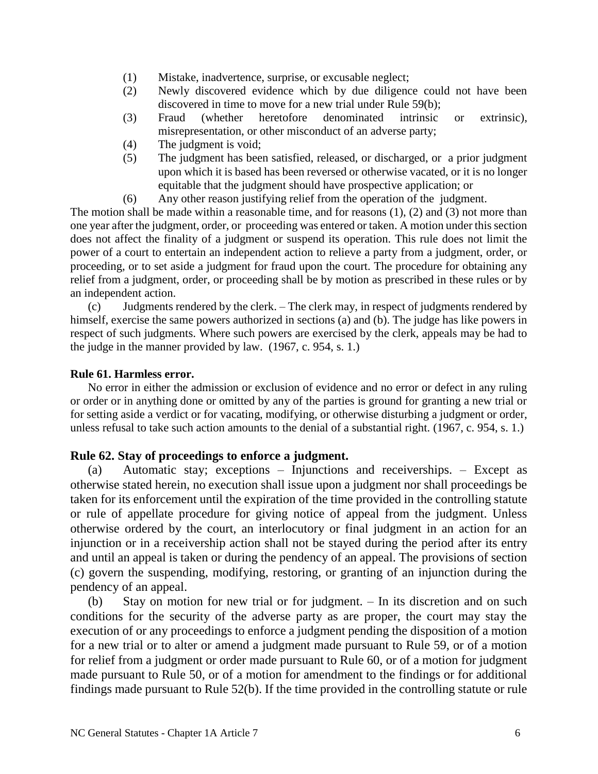- (1) Mistake, inadvertence, surprise, or excusable neglect;
- (2) Newly discovered evidence which by due diligence could not have been discovered in time to move for a new trial under Rule 59(b);
- (3) Fraud (whether heretofore denominated intrinsic or extrinsic), misrepresentation, or other misconduct of an adverse party;
- (4) The judgment is void;
- (5) The judgment has been satisfied, released, or discharged, or a prior judgment upon which it is based has been reversed or otherwise vacated, or it is no longer equitable that the judgment should have prospective application; or
- (6) Any other reason justifying relief from the operation of the judgment.

The motion shall be made within a reasonable time, and for reasons (1), (2) and (3) not more than one year after the judgment, order, or proceeding was entered or taken. A motion under this section does not affect the finality of a judgment or suspend its operation. This rule does not limit the power of a court to entertain an independent action to relieve a party from a judgment, order, or proceeding, or to set aside a judgment for fraud upon the court. The procedure for obtaining any relief from a judgment, order, or proceeding shall be by motion as prescribed in these rules or by an independent action.

(c) Judgments rendered by the clerk. – The clerk may, in respect of judgments rendered by himself, exercise the same powers authorized in sections (a) and (b). The judge has like powers in respect of such judgments. Where such powers are exercised by the clerk, appeals may be had to the judge in the manner provided by law. (1967, c. 954, s. 1.)

## **Rule 61. Harmless error.**

No error in either the admission or exclusion of evidence and no error or defect in any ruling or order or in anything done or omitted by any of the parties is ground for granting a new trial or for setting aside a verdict or for vacating, modifying, or otherwise disturbing a judgment or order, unless refusal to take such action amounts to the denial of a substantial right. (1967, c. 954, s. 1.)

# **Rule 62. Stay of proceedings to enforce a judgment.**

(a) Automatic stay; exceptions – Injunctions and receiverships. – Except as otherwise stated herein, no execution shall issue upon a judgment nor shall proceedings be taken for its enforcement until the expiration of the time provided in the controlling statute or rule of appellate procedure for giving notice of appeal from the judgment. Unless otherwise ordered by the court, an interlocutory or final judgment in an action for an injunction or in a receivership action shall not be stayed during the period after its entry and until an appeal is taken or during the pendency of an appeal. The provisions of section (c) govern the suspending, modifying, restoring, or granting of an injunction during the pendency of an appeal.

(b) Stay on motion for new trial or for judgment. – In its discretion and on such conditions for the security of the adverse party as are proper, the court may stay the execution of or any proceedings to enforce a judgment pending the disposition of a motion for a new trial or to alter or amend a judgment made pursuant to Rule 59, or of a motion for relief from a judgment or order made pursuant to Rule 60, or of a motion for judgment made pursuant to Rule 50, or of a motion for amendment to the findings or for additional findings made pursuant to Rule 52(b). If the time provided in the controlling statute or rule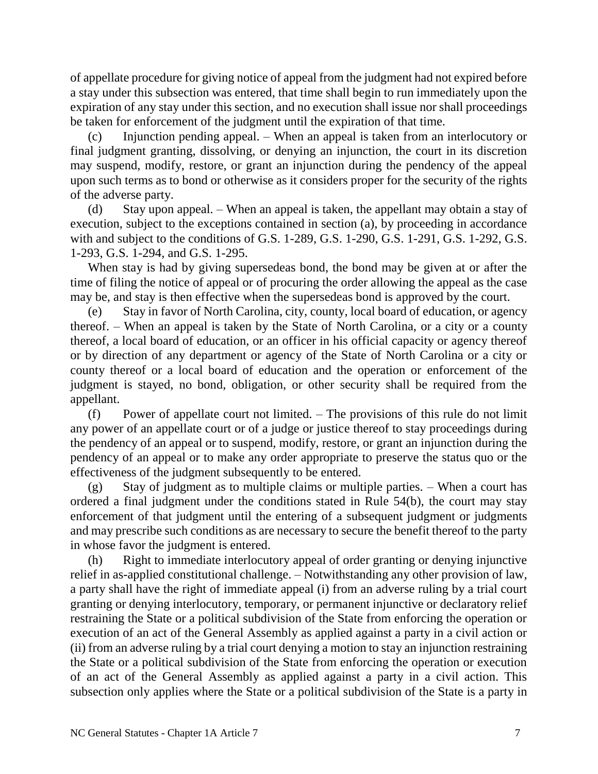of appellate procedure for giving notice of appeal from the judgment had not expired before a stay under this subsection was entered, that time shall begin to run immediately upon the expiration of any stay under this section, and no execution shall issue nor shall proceedings be taken for enforcement of the judgment until the expiration of that time.

Injunction pending appeal.  $-$  When an appeal is taken from an interlocutory or final judgment granting, dissolving, or denying an injunction, the court in its discretion may suspend, modify, restore, or grant an injunction during the pendency of the appeal upon such terms as to bond or otherwise as it considers proper for the security of the rights of the adverse party.

(d) Stay upon appeal. – When an appeal is taken, the appellant may obtain a stay of execution, subject to the exceptions contained in section (a), by proceeding in accordance with and subject to the conditions of G.S. 1-289, G.S. 1-290, G.S. 1-291, G.S. 1-292, G.S. 1-293, G.S. 1-294, and G.S. 1-295.

When stay is had by giving supersedeas bond, the bond may be given at or after the time of filing the notice of appeal or of procuring the order allowing the appeal as the case may be, and stay is then effective when the supersedeas bond is approved by the court.

(e) Stay in favor of North Carolina, city, county, local board of education, or agency thereof. – When an appeal is taken by the State of North Carolina, or a city or a county thereof, a local board of education, or an officer in his official capacity or agency thereof or by direction of any department or agency of the State of North Carolina or a city or county thereof or a local board of education and the operation or enforcement of the judgment is stayed, no bond, obligation, or other security shall be required from the appellant.

(f) Power of appellate court not limited. – The provisions of this rule do not limit any power of an appellate court or of a judge or justice thereof to stay proceedings during the pendency of an appeal or to suspend, modify, restore, or grant an injunction during the pendency of an appeal or to make any order appropriate to preserve the status quo or the effectiveness of the judgment subsequently to be entered.

Stay of judgment as to multiple claims or multiple parties.  $-$  When a court has ordered a final judgment under the conditions stated in Rule 54(b), the court may stay enforcement of that judgment until the entering of a subsequent judgment or judgments and may prescribe such conditions as are necessary to secure the benefit thereof to the party in whose favor the judgment is entered.

(h) Right to immediate interlocutory appeal of order granting or denying injunctive relief in as-applied constitutional challenge. – Notwithstanding any other provision of law, a party shall have the right of immediate appeal (i) from an adverse ruling by a trial court granting or denying interlocutory, temporary, or permanent injunctive or declaratory relief restraining the State or a political subdivision of the State from enforcing the operation or execution of an act of the General Assembly as applied against a party in a civil action or (ii) from an adverse ruling by a trial court denying a motion to stay an injunction restraining the State or a political subdivision of the State from enforcing the operation or execution of an act of the General Assembly as applied against a party in a civil action. This subsection only applies where the State or a political subdivision of the State is a party in